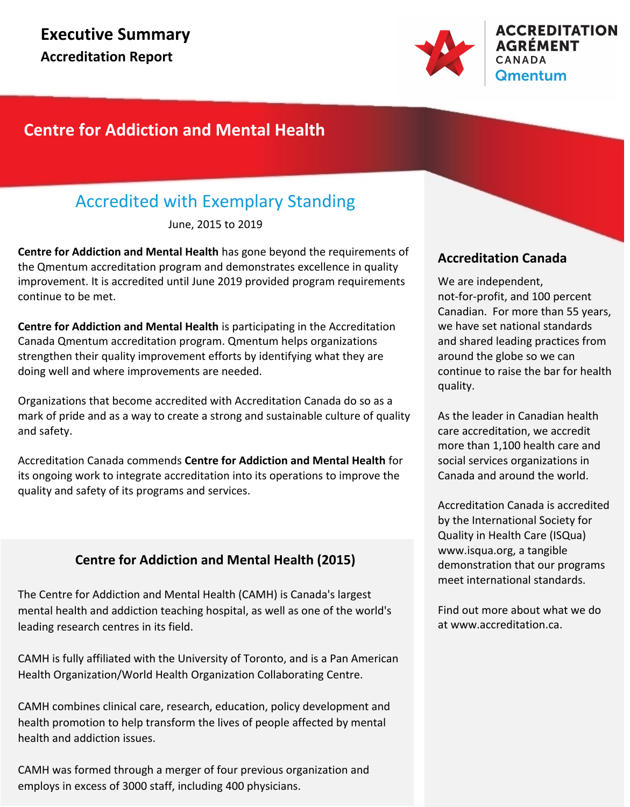

## **Centre for Addiction and Mental Health**

## Accredited with Exemplary Standing

June, 2015 to 2019

**Centre for Addiction and Mental Health** has gone beyond the requirements of the Qmentum accreditation program and demonstrates excellence in quality improvement. It is accredited until June 2019 provided program requirements continue to be met.

**Centre for Addiction and Mental Health** is participating in the Accreditation Canada Qmentum accreditation program. Qmentum helps organizations strengthen their quality improvement efforts by identifying what they are doing well and where improvements are needed.

Organizations that become accredited with Accreditation Canada do so as a mark of pride and as a way to create a strong and sustainable culture of quality and safety.

Accreditation Canada commends **Centre for Addiction and Mental Health** for its ongoing work to integrate accreditation into its operations to improve the quality and safety of its programs and services.

### **Centre for Addiction and Mental Health (2015)**

The Centre for Addiction and Mental Health (CAMH) is Canada's largest mental health and addiction teaching hospital, as well as one of the world's leading research centres in its field.

CAMH is fully affiliated with the University of Toronto, and is a Pan American Health Organization/World Health Organization Collaborating Centre.

CAMH combines clinical care, research, education, policy development and health promotion to help transform the lives of people affected by mental health and addiction issues.

CAMH was formed through a merger of four previous organization and employs in excess of 3000 staff, including 400 physicians.

### **Accreditation Canada**

We are independent, not-for-profit, and 100 percent Canadian. For more than 55 years, we have set national standards and shared leading practices from around the globe so we can continue to raise the bar for health quality.

As the leader in Canadian health care accreditation, we accredit more than 1,100 health care and social services organizations in Canada and around the world.

Accreditation Canada is accredited by the International Society for Quality in Health Care (ISQua) www.isqua.org, a tangible demonstration that our programs meet international standards.

Find out more about what we do at www.accreditation.ca.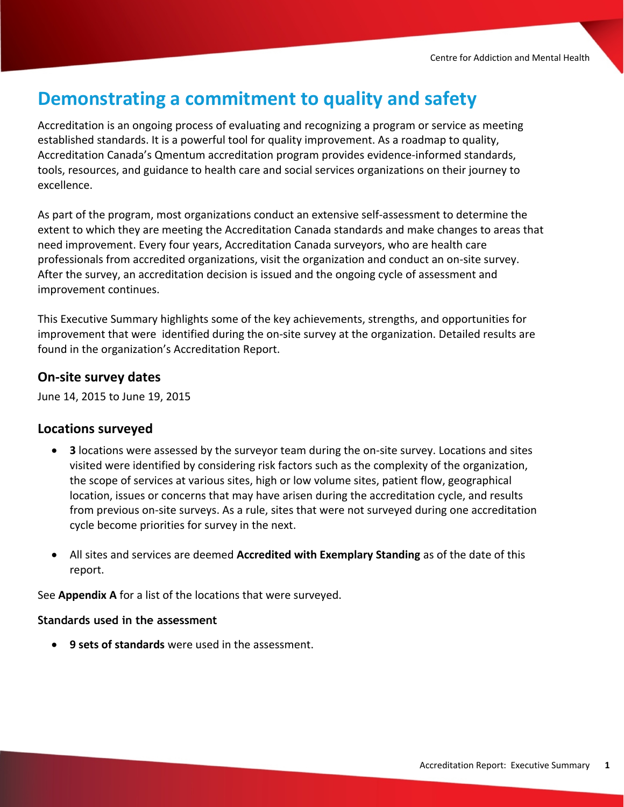# **Demonstrating a commitment to quality and safety**

Accreditation is an ongoing process of evaluating and recognizing a program or service as meeting established standards. It is a powerful tool for quality improvement. As a roadmap to quality, Accreditation Canada's Qmentum accreditation program provides evidence-informed standards, tools, resources, and guidance to health care and social services organizations on their journey to excellence.

As part of the program, most organizations conduct an extensive self-assessment to determine the extent to which they are meeting the Accreditation Canada standards and make changes to areas that need improvement. Every four years, Accreditation Canada surveyors, who are health care professionals from accredited organizations, visit the organization and conduct an on-site survey. After the survey, an accreditation decision is issued and the ongoing cycle of assessment and improvement continues.

This Executive Summary highlights some of the key achievements, strengths, and opportunities for improvement that were identified during the on-site survey at the organization. Detailed results are found in the organization's Accreditation Report.

### **On-site survey dates**

June 14, 2015 to June 19, 2015

### **Locations surveyed**

- · **3** locations were assessed by the surveyor team during the on-site survey. Locations and sites visited were identified by considering risk factors such as the complexity of the organization, the scope of services at various sites, high or low volume sites, patient flow, geographical location, issues or concerns that may have arisen during the accreditation cycle, and results from previous on-site surveys. As a rule, sites that were not surveyed during one accreditation cycle become priorities for survey in the next.
- · All sites and services are deemed **Accredited with Exemplary Standing** as of the date of this report.

See **Appendix A** for a list of the locations that were surveyed.

#### **Standards used in the assessment**

· **9 sets of standards** were used in the assessment.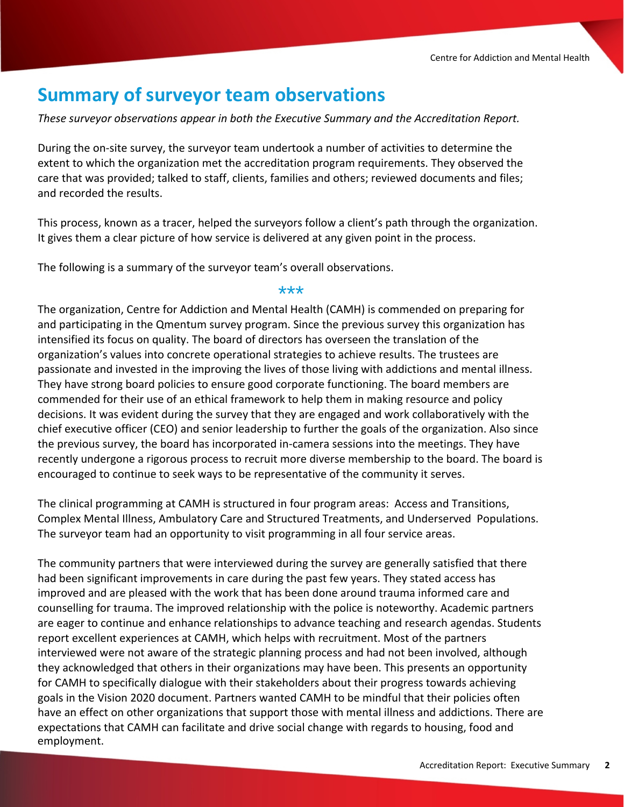## **Summary of surveyor team observations**

*These surveyor observations appear in both the Executive Summary and the Accreditation Report.*

During the on-site survey, the surveyor team undertook a number of activities to determine the extent to which the organization met the accreditation program requirements. They observed the care that was provided; talked to staff, clients, families and others; reviewed documents and files; and recorded the results.

This process, known as a tracer, helped the surveyors follow a client's path through the organization. It gives them a clear picture of how service is delivered at any given point in the process.

The following is a summary of the surveyor team's overall observations.

#### \*\*\*

The organization, Centre for Addiction and Mental Health (CAMH) is commended on preparing for and participating in the Qmentum survey program. Since the previous survey this organization has intensified its focus on quality. The board of directors has overseen the translation of the organization's values into concrete operational strategies to achieve results. The trustees are passionate and invested in the improving the lives of those living with addictions and mental illness. They have strong board policies to ensure good corporate functioning. The board members are commended for their use of an ethical framework to help them in making resource and policy decisions. It was evident during the survey that they are engaged and work collaboratively with the chief executive officer (CEO) and senior leadership to further the goals of the organization. Also since the previous survey, the board has incorporated in-camera sessions into the meetings. They have recently undergone a rigorous process to recruit more diverse membership to the board. The board is encouraged to continue to seek ways to be representative of the community it serves.

The clinical programming at CAMH is structured in four program areas: Access and Transitions, Complex Mental Illness, Ambulatory Care and Structured Treatments, and Underserved Populations. The surveyor team had an opportunity to visit programming in all four service areas.

The community partners that were interviewed during the survey are generally satisfied that there had been significant improvements in care during the past few years. They stated access has improved and are pleased with the work that has been done around trauma informed care and counselling for trauma. The improved relationship with the police is noteworthy. Academic partners are eager to continue and enhance relationships to advance teaching and research agendas. Students report excellent experiences at CAMH, which helps with recruitment. Most of the partners interviewed were not aware of the strategic planning process and had not been involved, although they acknowledged that others in their organizations may have been. This presents an opportunity for CAMH to specifically dialogue with their stakeholders about their progress towards achieving goals in the Vision 2020 document. Partners wanted CAMH to be mindful that their policies often have an effect on other organizations that support those with mental illness and addictions. There are expectations that CAMH can facilitate and drive social change with regards to housing, food and employment.

investing in change management resources. The creation of the Enterprise Project Management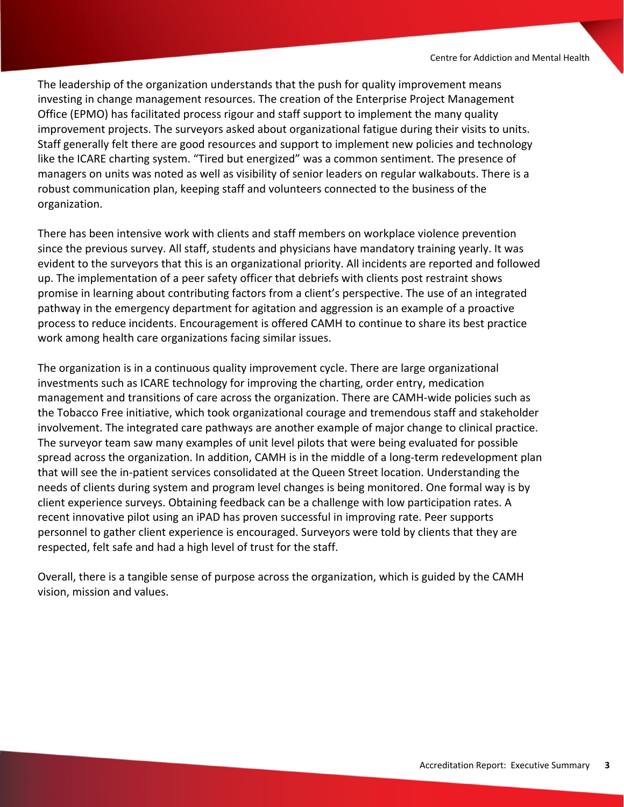The leadership of the organization understands that the push for quality improvement means investing in change management resources. The creation of the Enterprise Project Management Office (EPMO) has facilitated process rigour and staff support to implement the many quality improvement projects. The surveyors asked about organizational fatigue during their visits to units. Staff generally felt there are good resources and support to implement new policies and technology like the ICARE charting system. "Tired but energized" was a common sentiment. The presence of managers on units was noted as well as visibility of senior leaders on regular walkabouts. There is a robust communication plan, keeping staff and volunteers connected to the business of the organization.

There has been intensive work with clients and staff members on workplace violence prevention since the previous survey. All staff, students and physicians have mandatory training yearly. It was evident to the surveyors that this is an organizational priority. All incidents are reported and followed up. The implementation of a peer safety officer that debriefs with clients post restraint shows promise in learning about contributing factors from a client's perspective. The use of an integrated pathway in the emergency department for agitation and aggression is an example of a proactive process to reduce incidents. Encouragement is offered CAMH to continue to share its best practice work among health care organizations facing similar issues.

The organization is in a continuous quality improvement cycle. There are large organizational investments such as ICARE technology for improving the charting, order entry, medication management and transitions of care across the organization. There are CAMH-wide policies such as the Tobacco Free initiative, which took organizational courage and tremendous staff and stakeholder involvement. The integrated care pathways are another example of major change to clinical practice. The surveyor team saw many examples of unit level pilots that were being evaluated for possible spread across the organization. In addition, CAMH is in the middle of a long-term redevelopment plan that will see the in-patient services consolidated at the Queen Street location. Understanding the needs of clients during system and program level changes is being monitored. One formal way is by client experience surveys. Obtaining feedback can be a challenge with low participation rates. A recent innovative pilot using an iPAD has proven successful in improving rate. Peer supports personnel to gather client experience is encouraged. Surveyors were told by clients that they are respected, felt safe and had a high level of trust for the staff.

Overall, there is a tangible sense of purpose across the organization, which is guided by the CAMH vision, mission and values.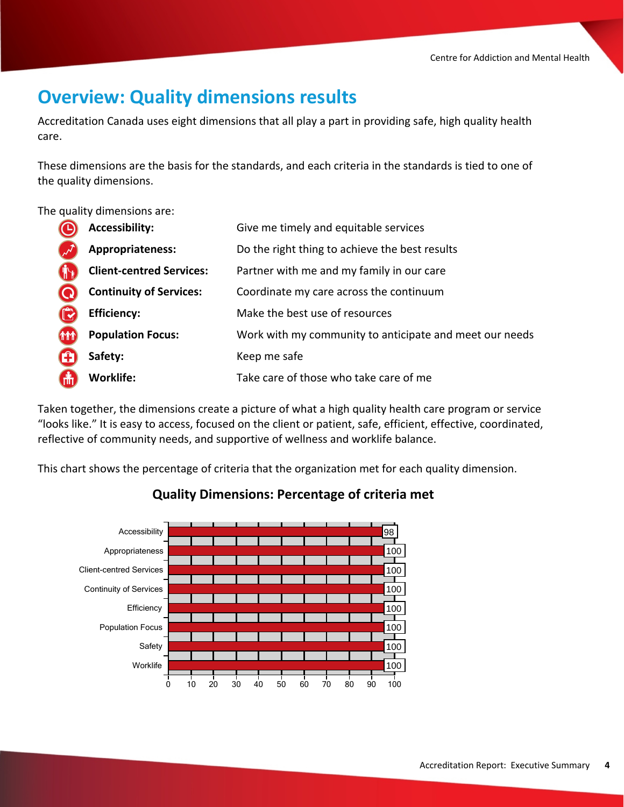## **Overview: Quality dimensions results**

Accreditation Canada uses eight dimensions that all play a part in providing safe, high quality health care.

These dimensions are the basis for the standards, and each criteria in the standards is tied to one of the quality dimensions.

The quality dimensions are:

|                     | <b>Accessibility:</b>           | Give me timely and equitable services                   |
|---------------------|---------------------------------|---------------------------------------------------------|
|                     | Appropriateness:                | Do the right thing to achieve the best results          |
|                     | <b>Client-centred Services:</b> | Partner with me and my family in our care               |
|                     | <b>Continuity of Services:</b>  | Coordinate my care across the continuum                 |
|                     | <b>Efficiency:</b>              | Make the best use of resources                          |
| <b>THT</b>          | <b>Population Focus:</b>        | Work with my community to anticipate and meet our needs |
| $\mathbf \mathbf G$ | Safety:                         | Keep me safe                                            |
| <b>GH</b>           | <b>Worklife:</b>                | Take care of those who take care of me                  |

Taken together, the dimensions create a picture of what a high quality health care program or service "looks like." It is easy to access, focused on the client or patient, safe, efficient, effective, coordinated, reflective of community needs, and supportive of wellness and worklife balance.

This chart shows the percentage of criteria that the organization met for each quality dimension.



### **Quality Dimensions: Percentage of criteria met**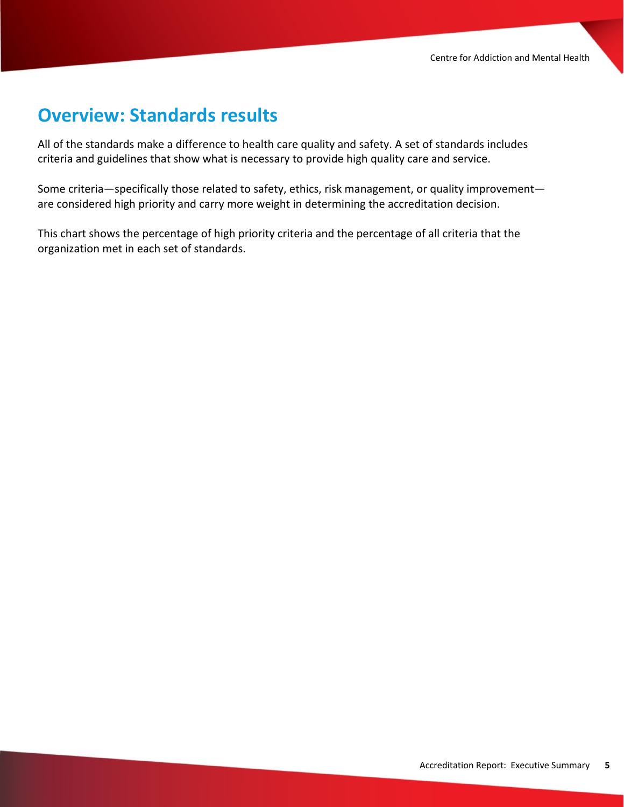## **Overview: Standards results**

All of the standards make a difference to health care quality and safety. A set of standards includes criteria and guidelines that show what is necessary to provide high quality care and service.

Some criteria—specifically those related to safety, ethics, risk management, or quality improvement are considered high priority and carry more weight in determining the accreditation decision.

This chart shows the percentage of high priority criteria and the percentage of all criteria that the organization met in each set of standards.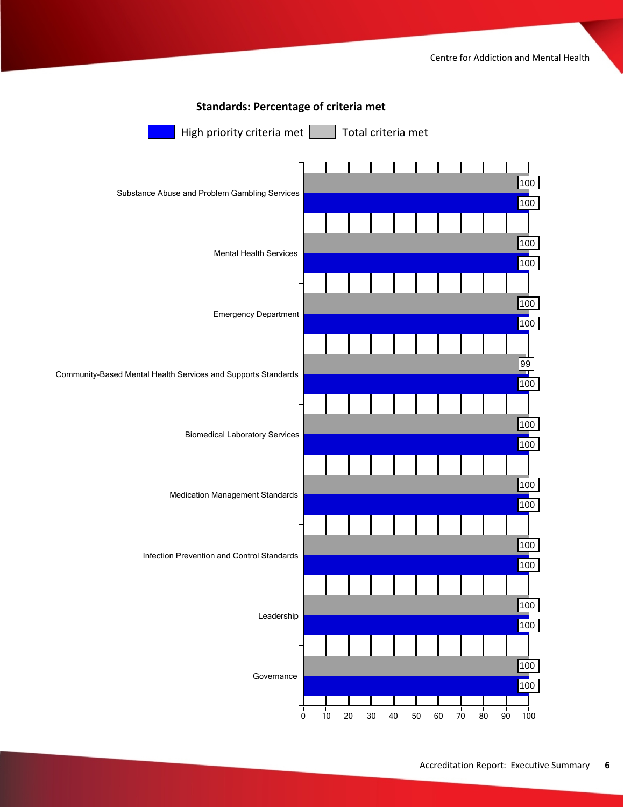![](_page_6_Figure_1.jpeg)

### **Standards: Percentage of criteria met**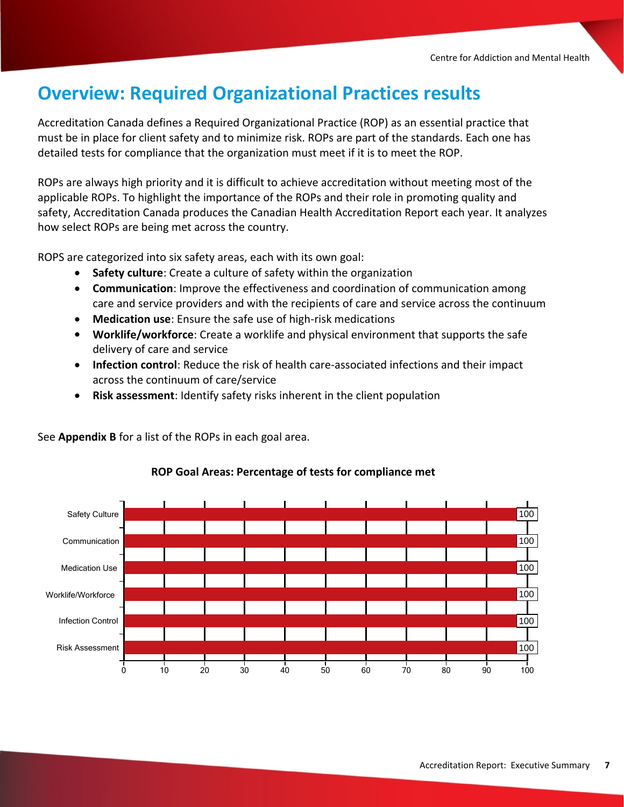## **Overview: Required Organizational Practices results**

Accreditation Canada defines a Required Organizational Practice (ROP) as an essential practice that must be in place for client safety and to minimize risk. ROPs are part of the standards. Each one has detailed tests for compliance that the organization must meet if it is to meet the ROP.

ROPs are always high priority and it is difficult to achieve accreditation without meeting most of the applicable ROPs. To highlight the importance of the ROPs and their role in promoting quality and safety, Accreditation Canada produces the Canadian Health Accreditation Report each year. It analyzes how select ROPs are being met across the country.

ROPS are categorized into six safety areas, each with its own goal:

See **Appendix B** for a list of the ROPs in each goal area.

- · **Safety culture**: Create a culture of safety within the organization
- · **Communication**: Improve the effectiveness and coordination of communication among care and service providers and with the recipients of care and service across the continuum
- · **Medication use**: Ensure the safe use of high-risk medications
- · **Worklife/workforce**: Create a worklife and physical environment that supports the safe delivery of care and service
- · **Infection control**: Reduce the risk of health care-associated infections and their impact across the continuum of care/service
- · **Risk assessment**: Identify safety risks inherent in the client population

Risk Assessment Infection Control Worklife/Workforce Medication Use Communication Safety Culture 0 10 20 30 40 50 60 70 80 90 100

#### **ROP Goal Areas: Percentage of tests for compliance met**

100

100

100

100

100

100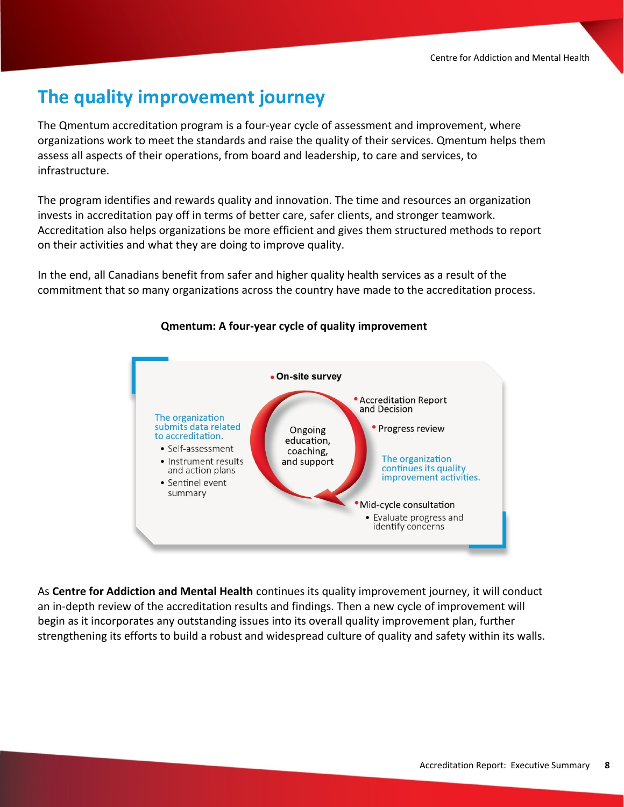## **The quality improvement journey**

The Qmentum accreditation program is a four-year cycle of assessment and improvement, where organizations work to meet the standards and raise the quality of their services. Qmentum helps them assess all aspects of their operations, from board and leadership, to care and services, to infrastructure.

The program identifies and rewards quality and innovation. The time and resources an organization invests in accreditation pay off in terms of better care, safer clients, and stronger teamwork. Accreditation also helps organizations be more efficient and gives them structured methods to report on their activities and what they are doing to improve quality.

In the end, all Canadians benefit from safer and higher quality health services as a result of the commitment that so many organizations across the country have made to the accreditation process.

![](_page_8_Figure_5.jpeg)

#### **Qmentum: A four-year cycle of quality improvement**

As **Centre for Addiction and Mental Health** continues its quality improvement journey, it will conduct an in-depth review of the accreditation results and findings. Then a new cycle of improvement will begin as it incorporates any outstanding issues into its overall quality improvement plan, further strengthening its efforts to build a robust and widespread culture of quality and safety within its walls.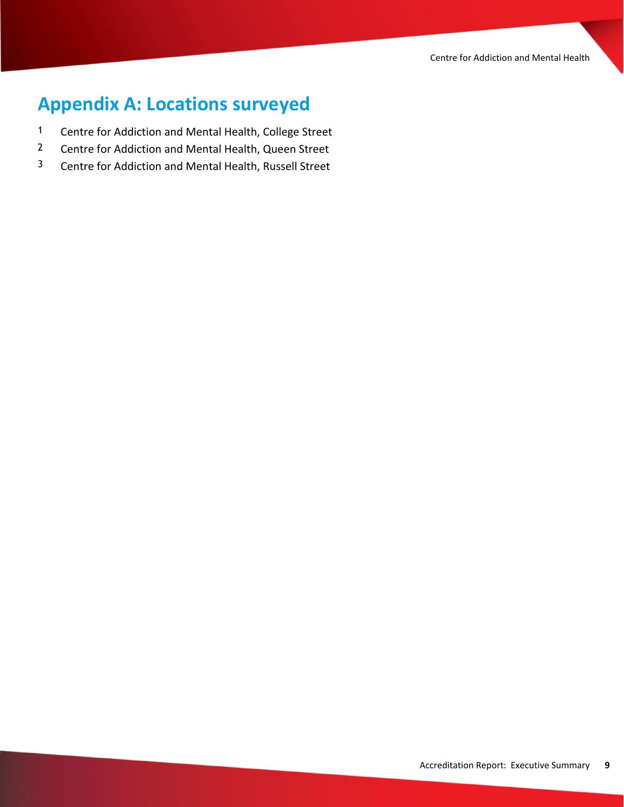Centre for Addiction and Mental Health

# **Appendix A: Locations surveyed**

- 1 Centre for Addiction and Mental Health, College Street
- 2 Centre for Addiction and Mental Health, Queen Street
- 3 Centre for Addiction and Mental Health, Russell Street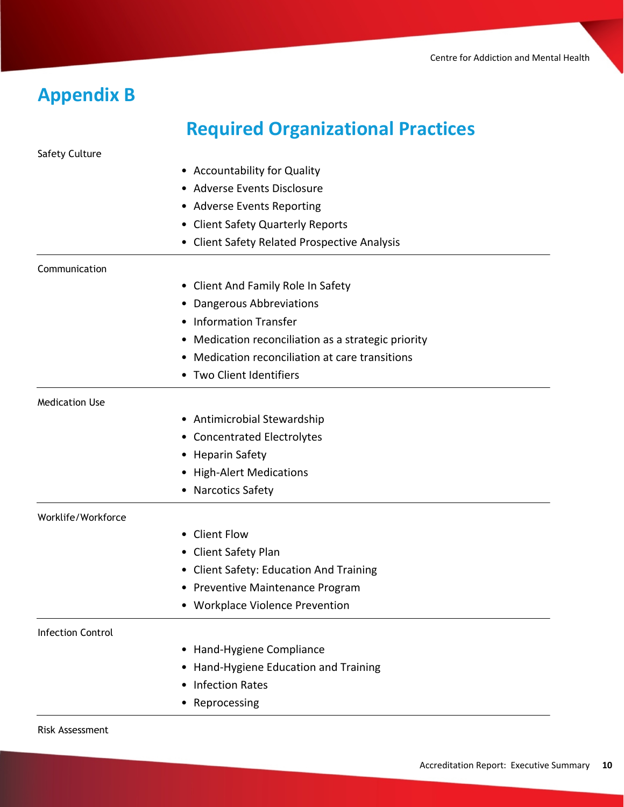## **Appendix B**

# **Required Organizational Practices**

Safety Culture

- Accountability for Quality
- Adverse Events Disclosure
- Adverse Events Reporting
- Client Safety Quarterly Reports
- Client Safety Related Prospective Analysis

#### **Communication**

- Client And Family Role In Safety
- Dangerous Abbreviations
- Information Transfer
- Medication reconciliation as a strategic priority
- Medication reconciliation at care transitions
- Two Client Identifiers

#### Medication Use

- Antimicrobial Stewardship
- Concentrated Electrolytes
- Heparin Safety
- High-Alert Medications
- Narcotics Safety

#### Worklife/Workforce

- Client Flow
- Client Safety Plan
- Client Safety: Education And Training
- Preventive Maintenance Program
- Workplace Violence Prevention

#### Infection Control

- Hand-Hygiene Compliance
- Hand-Hygiene Education and Training
- Infection Rates
- Reprocessing

#### Risk Assessment